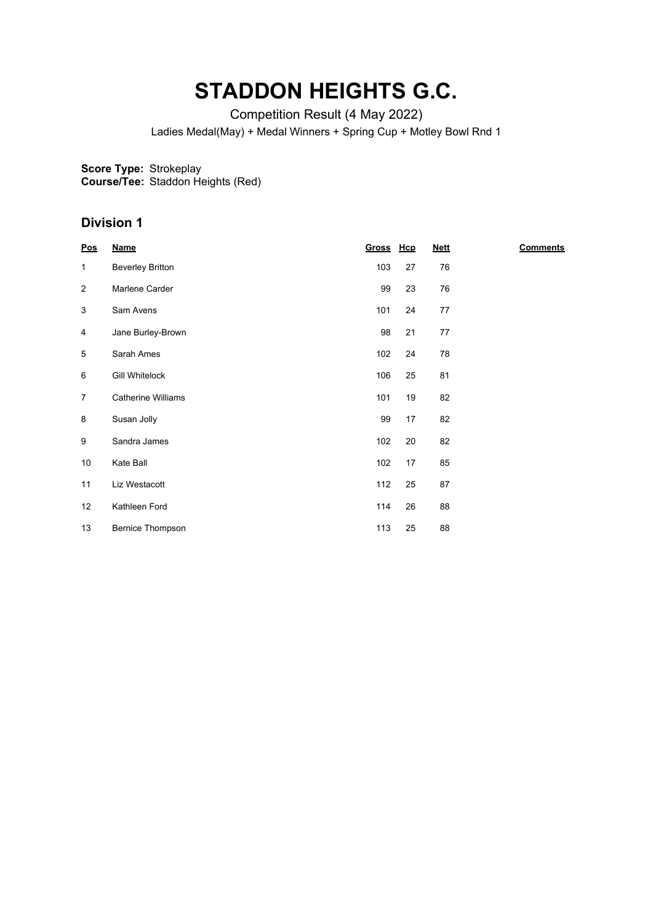## **STADDON HEIGHTS G.C.**

Competition Result (4 May 2022)

Ladies Medal(May) + Medal Winners + Spring Cup + Motley Bowl Rnd 1

**Score Type:** Strokeplay

**Course/Tee:** Staddon Heights (Red)

## **Division 1**

| $\underline{\text{Pos}}$ | <b>Name</b>               | <u>Gross</u> | Hcp | <b>Nett</b> | <b>Comments</b> |
|--------------------------|---------------------------|--------------|-----|-------------|-----------------|
| $\mathbf{1}$             | <b>Beverley Britton</b>   | 103          | 27  | 76          |                 |
| $\overline{2}$           | Marlene Carder            | 99           | 23  | 76          |                 |
| 3                        | Sam Avens                 | 101          | 24  | 77          |                 |
| 4                        | Jane Burley-Brown         | 98           | 21  | 77          |                 |
| 5                        | Sarah Ames                | 102          | 24  | 78          |                 |
| 6                        | <b>Gill Whitelock</b>     | 106          | 25  | 81          |                 |
| $\overline{7}$           | <b>Catherine Williams</b> | 101          | 19  | 82          |                 |
| 8                        | Susan Jolly               | 99           | 17  | 82          |                 |
| 9                        | Sandra James              | 102          | 20  | 82          |                 |
| 10                       | Kate Ball                 | 102          | 17  | 85          |                 |
| 11                       | Liz Westacott             | 112          | 25  | 87          |                 |
| 12                       | Kathleen Ford             | 114          | 26  | 88          |                 |
| 13                       | Bernice Thompson          | 113          | 25  | 88          |                 |